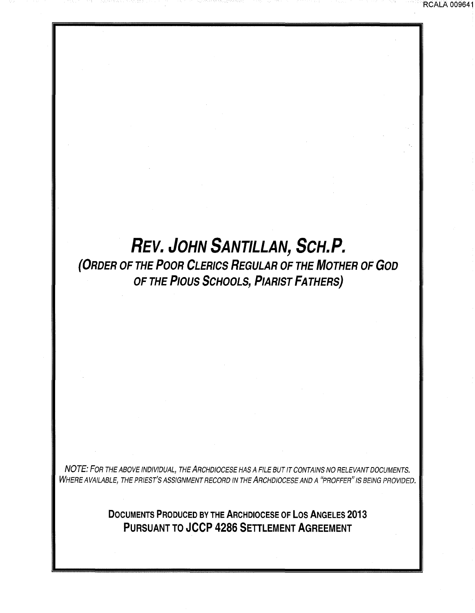## **REV. JOHN SANTILLAN, SCH.P.**

RCALA 009641

**(ORDER OF THE POOR CLERICS REGULAR OF THE MOTHER OF GOD OF THE PIOUS SCHOOLS, PIARIST FATHERS)** 

NOTE: FOR THE ABOVE INDIVIDUAL, THE ARCHDIOCESE HAS A FILE BUT IT CONTAINS NO RELEVANT DOCUMENTS. WHERE AVAILABLE, THE PRIEST'S ASSIGNMENT RECORD IN THE ARCHDIOCESE AND A "PROFFER" IS BEING PROVIDED.

> **DOCUMENTS PRODUCED BY THE ARCHDIOCESE OF LOS ANGELES 2013 PURSUANT TO JCCP 4286 SETTLEMENT AGREEMENT**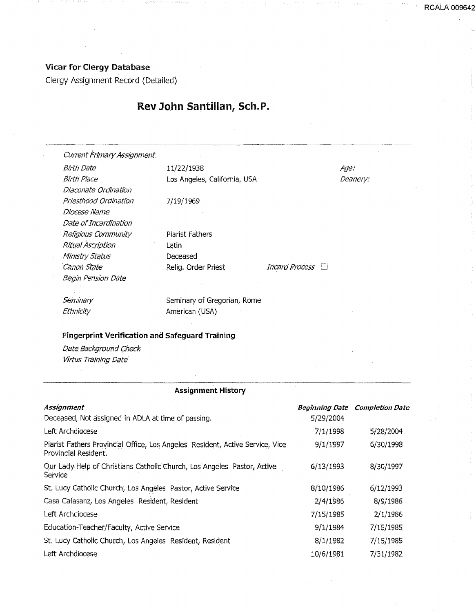## Vicar for Clergy Database

Clergy Assighment Record (Detailed)

## Rev John Santillan, Sch.P.

|                                                        | <b>Assignment History</b>    |                          |          |
|--------------------------------------------------------|------------------------------|--------------------------|----------|
|                                                        |                              |                          |          |
| Virtus Training Date                                   |                              |                          |          |
| Date Background Check                                  |                              |                          |          |
| <b>Fingerprint Verification and Safeguard Training</b> |                              |                          |          |
| Ethnicity                                              | American (USA)               |                          |          |
| Seminary                                               | Seminary of Gregorian, Rome  |                          |          |
| Begin Pension Date                                     |                              |                          |          |
| Canon State                                            | Relig. Order Priest          | Incard Process $\square$ |          |
| Ministry Status                                        | Deceased                     |                          |          |
| Ritual Ascription                                      | Latin                        |                          |          |
| Religious Community                                    | Plarist Fathers              |                          |          |
| Date of Incardination                                  |                              |                          |          |
| Diocese Name                                           |                              |                          |          |
| Priesthood Ordination                                  | 7/19/1969                    |                          |          |
| Diaconate Ordination                                   |                              |                          |          |
| <b>Birth Place</b>                                     | Los Angeles, California, USA |                          | Deanery: |
| Birth Date                                             | 11/22/1938                   |                          | Age.     |
| <b>Current Primary Assignment.</b>                     |                              |                          |          |

| Assignment                                                                                            | <b>Beginning Date</b> | <b>Completion Date</b> |
|-------------------------------------------------------------------------------------------------------|-----------------------|------------------------|
| Deceased, Not assigned in ADLA at time of passing.                                                    | 5/29/2004             |                        |
| Left Archdiocese                                                                                      | 7/1/1998              | 5/28/2004              |
| Piarist Fathers Provincial Office, Los Angeles Resident, Active Service, Vice<br>Provincial Resident. | 9/1/1997              | 6/30/1998              |
| Our Lady Help of Christians Catholic Church, Los Angeles Pastor, Active<br>Service                    | 6/13/1993             | 8/30/1997              |
| St. Lucy Catholic Church, Los Angeles Pastor, Active Service                                          | 8/10/1986             | 6/12/1993              |
| Casa Calasanz, Los Angeles Resident, Resident                                                         | 2/4/1986              | 8/9/1986               |
| Left Archdiocese                                                                                      | 7/15/1985             | 2/1/1986               |
| Education-Teacher/Faculty, Active Service                                                             | 9/1/1984              | 7/15/1985              |
| St. Lucy Catholic Church, Los Angeles Resident, Resident                                              | 8/1/1982              | 7/15/1985              |
| Left Archdiocese                                                                                      | 10/6/1981             | 7/31/1982              |

**RCALA 009642**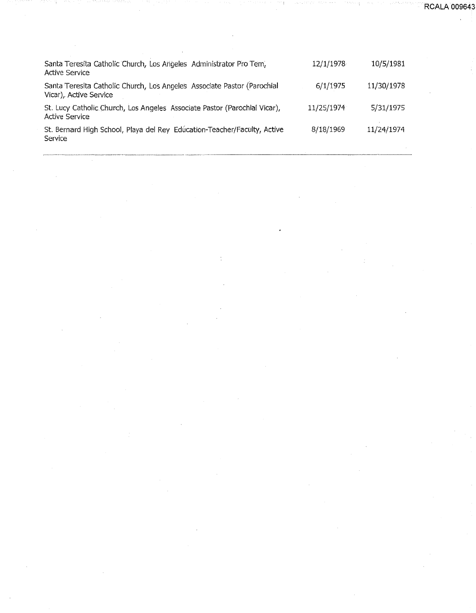| Santa Teresita Catholic Church, Los Angeles Administrator Pro Tem,<br>Active Service               | 12/1/1978  | 10/5/1981  |
|----------------------------------------------------------------------------------------------------|------------|------------|
| Santa Teresita Catholic Church, Los Angeles Associate Pastor (Parochial<br>Vicar), Active Service  | 6/1/1975   | 11/30/1978 |
| St. Lucy Catholic Church, Los Angeles Associate Pastor (Parochial Vicar),<br><b>Active Service</b> | 11/25/1974 | 5/31/1975  |
| St. Bernard High School, Playa del Rey Education-Teacher/Faculty, Active<br>Service                | 8/18/1969  | 11/24/1974 |

**RCALA 009643**